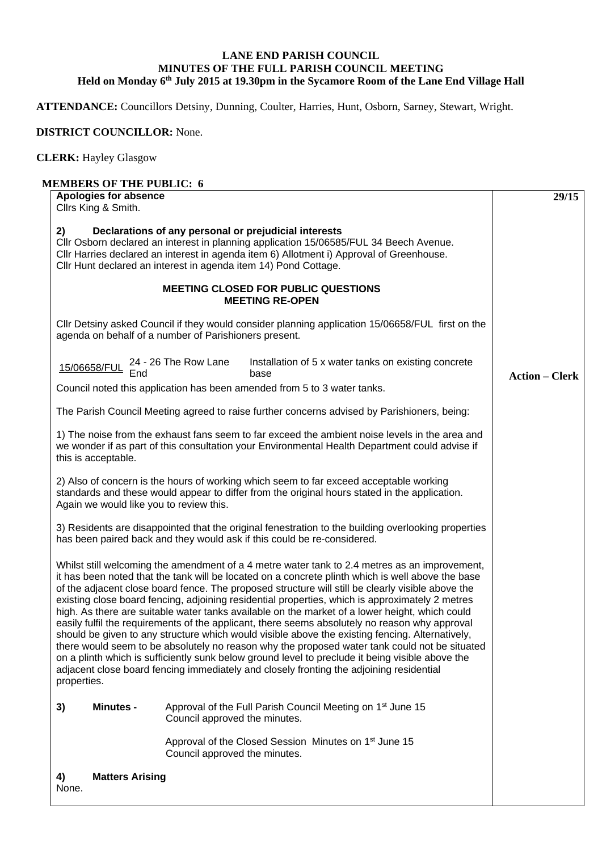## **LANE END PARISH COUNCIL MINUTES OF THE FULL PARISH COUNCIL MEETING Held on Monday 6th July 2015 at 19.30pm in the Sycamore Room of the Lane End Village Hall**

**ATTENDANCE:** Councillors Detsiny, Dunning, Coulter, Harries, Hunt, Osborn, Sarney, Stewart, Wright.

## **DISTRICT COUNCILLOR:** None.

**CLERK:** Hayley Glasgow

## **MEMBERS OF THE PUBLIC: 6 Apologies for absence** Cllrs King & Smith. **2) Declarations of any personal or prejudicial interests**  Cllr Osborn declared an interest in planning application 15/06585/FUL 34 Beech Avenue. Cllr Harries declared an interest in agenda item 6) Allotment i) Approval of Greenhouse. Cllr Hunt declared an interest in agenda item 14) Pond Cottage. **MEETING CLOSED FOR PUBLIC QUESTIONS MEETING RE-OPEN**  Cllr Detsiny asked Council if they would consider planning application 15/06658/FUL first on the agenda on behalf of a number of Parishioners present. 15/06658/FUL 24 - 26 The Row Lane End Installation of 5 x water tanks on existing concrete base Council noted this application has been amended from 5 to 3 water tanks. The Parish Council Meeting agreed to raise further concerns advised by Parishioners, being: 1) The noise from the exhaust fans seem to far exceed the ambient noise levels in the area and we wonder if as part of this consultation your Environmental Health Department could advise if this is acceptable. 2) Also of concern is the hours of working which seem to far exceed acceptable working standards and these would appear to differ from the original hours stated in the application. Again we would like you to review this. 3) Residents are disappointed that the original fenestration to the building overlooking properties has been paired back and they would ask if this could be re-considered. Whilst still welcoming the amendment of a 4 metre water tank to 2.4 metres as an improvement, it has been noted that the tank will be located on a concrete plinth which is well above the base of the adjacent close board fence. The proposed structure will still be clearly visible above the existing close board fencing, adjoining residential properties, which is approximately 2 metres high. As there are suitable water tanks available on the market of a lower height, which could easily fulfil the requirements of the applicant, there seems absolutely no reason why approval should be given to any structure which would visible above the existing fencing. Alternatively, there would seem to be absolutely no reason why the proposed water tank could not be situated on a plinth which is sufficiently sunk below ground level to preclude it being visible above the adjacent close board fencing immediately and closely fronting the adjoining residential properties. **3) Minutes -** Approval of the Full Parish Council Meeting on 1<sup>st</sup> June 15 Council approved the minutes. Approval of the Closed Session Minutes on 1<sup>st</sup> June 15 Council approved the minutes. **4) Matters Arising 29/15 Action – Clerk**

None.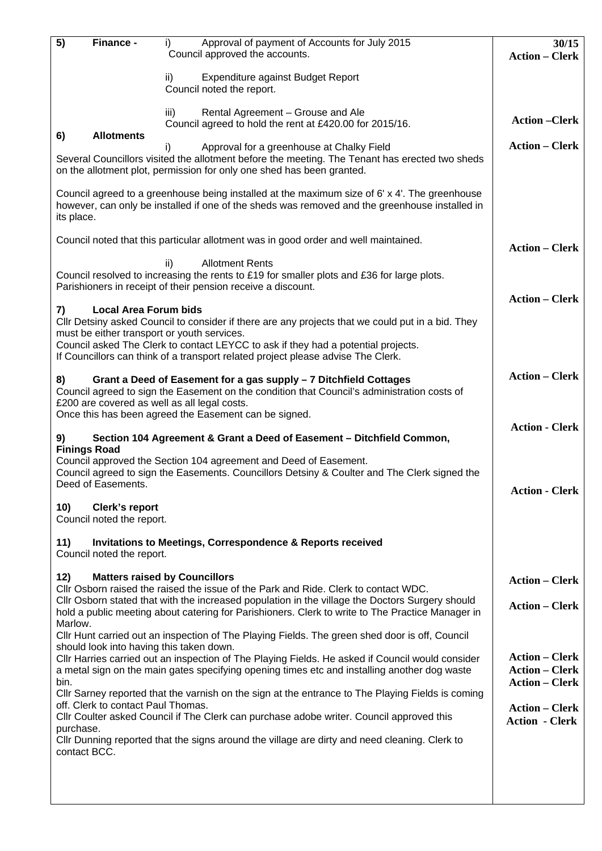| 5)                                                                                                                                                                                                                                    | Finance -                                                               | Approval of payment of Accounts for July 2015<br>I)                                                                                                                                                                        | 30/15                 |  |  |
|---------------------------------------------------------------------------------------------------------------------------------------------------------------------------------------------------------------------------------------|-------------------------------------------------------------------------|----------------------------------------------------------------------------------------------------------------------------------------------------------------------------------------------------------------------------|-----------------------|--|--|
|                                                                                                                                                                                                                                       |                                                                         | Council approved the accounts.                                                                                                                                                                                             | <b>Action - Clerk</b> |  |  |
|                                                                                                                                                                                                                                       |                                                                         | ii)<br>Expenditure against Budget Report<br>Council noted the report.                                                                                                                                                      |                       |  |  |
|                                                                                                                                                                                                                                       |                                                                         | Rental Agreement - Grouse and Ale<br>iii)<br>Council agreed to hold the rent at £420.00 for 2015/16.                                                                                                                       | <b>Action –Clerk</b>  |  |  |
| 6)                                                                                                                                                                                                                                    | <b>Allotments</b>                                                       | Approval for a greenhouse at Chalky Field<br>i)<br>Several Councillors visited the allotment before the meeting. The Tenant has erected two sheds<br>on the allotment plot, permission for only one shed has been granted. | <b>Action – Clerk</b> |  |  |
| Council agreed to a greenhouse being installed at the maximum size of 6' x 4'. The greenhouse<br>however, can only be installed if one of the sheds was removed and the greenhouse installed in<br>its place.                         |                                                                         |                                                                                                                                                                                                                            |                       |  |  |
| Council noted that this particular allotment was in good order and well maintained.<br><b>Action – Clerk</b>                                                                                                                          |                                                                         |                                                                                                                                                                                                                            |                       |  |  |
| Council resolved to increasing the rents to £19 for smaller plots and £36 for large plots.<br>Parishioners in receipt of their pension receive a discount.                                                                            |                                                                         |                                                                                                                                                                                                                            |                       |  |  |
| 7)                                                                                                                                                                                                                                    | <b>Local Area Forum bids</b>                                            |                                                                                                                                                                                                                            | <b>Action – Clerk</b> |  |  |
| CIIr Detsiny asked Council to consider if there are any projects that we could put in a bid. They<br>must be either transport or youth services.<br>Council asked The Clerk to contact LEYCC to ask if they had a potential projects. |                                                                         |                                                                                                                                                                                                                            |                       |  |  |
| If Councillors can think of a transport related project please advise The Clerk.                                                                                                                                                      |                                                                         |                                                                                                                                                                                                                            |                       |  |  |
| 8)<br>Council agreed to sign the Easement on the condition that Council's administration costs of<br>£200 are covered as well as all legal costs.                                                                                     | <b>Action – Clerk</b>                                                   |                                                                                                                                                                                                                            |                       |  |  |
|                                                                                                                                                                                                                                       |                                                                         | Once this has been agreed the Easement can be signed.<br>Section 104 Agreement & Grant a Deed of Easement - Ditchfield Common,                                                                                             | <b>Action - Clerk</b> |  |  |
| 9)<br><b>Finings Road</b>                                                                                                                                                                                                             |                                                                         |                                                                                                                                                                                                                            |                       |  |  |
| Council approved the Section 104 agreement and Deed of Easement.<br>Council agreed to sign the Easements. Councillors Detsiny & Coulter and The Clerk signed the<br>Deed of Easements.                                                |                                                                         |                                                                                                                                                                                                                            |                       |  |  |
|                                                                                                                                                                                                                                       | <b>Action - Clerk</b>                                                   |                                                                                                                                                                                                                            |                       |  |  |
| 10)                                                                                                                                                                                                                                   | Clerk's report<br>Council noted the report.                             |                                                                                                                                                                                                                            |                       |  |  |
| 11)                                                                                                                                                                                                                                   | Council noted the report.                                               | <b>Invitations to Meetings, Correspondence &amp; Reports received</b>                                                                                                                                                      |                       |  |  |
| 12)                                                                                                                                                                                                                                   | <b>Matters raised by Councillors</b>                                    |                                                                                                                                                                                                                            |                       |  |  |
| CIIr Osborn raised the raised the issue of the Park and Ride. Clerk to contact WDC.<br>Cllr Osborn stated that with the increased population in the village the Doctors Surgery should                                                |                                                                         |                                                                                                                                                                                                                            |                       |  |  |
| hold a public meeting about catering for Parishioners. Clerk to write to The Practice Manager in                                                                                                                                      | <b>Action – Clerk</b>                                                   |                                                                                                                                                                                                                            |                       |  |  |
| Marlow.<br>CIIr Hunt carried out an inspection of The Playing Fields. The green shed door is off, Council<br>should look into having this taken down.                                                                                 |                                                                         |                                                                                                                                                                                                                            |                       |  |  |
| CIIr Harries carried out an inspection of The Playing Fields. He asked if Council would consider<br>a metal sign on the main gates specifying opening times etc and installing another dog waste<br>bin.                              | <b>Action – Clerk</b><br><b>Action – Clerk</b><br><b>Action – Clerk</b> |                                                                                                                                                                                                                            |                       |  |  |
| Cllr Sarney reported that the varnish on the sign at the entrance to The Playing Fields is coming                                                                                                                                     |                                                                         |                                                                                                                                                                                                                            |                       |  |  |
| off. Clerk to contact Paul Thomas.<br>Cllr Coulter asked Council if The Clerk can purchase adobe writer. Council approved this<br>purchase.                                                                                           | <b>Action – Clerk</b><br><b>Action - Clerk</b>                          |                                                                                                                                                                                                                            |                       |  |  |
| CIIr Dunning reported that the signs around the village are dirty and need cleaning. Clerk to<br>contact BCC.                                                                                                                         |                                                                         |                                                                                                                                                                                                                            |                       |  |  |
|                                                                                                                                                                                                                                       |                                                                         |                                                                                                                                                                                                                            |                       |  |  |
|                                                                                                                                                                                                                                       |                                                                         |                                                                                                                                                                                                                            |                       |  |  |